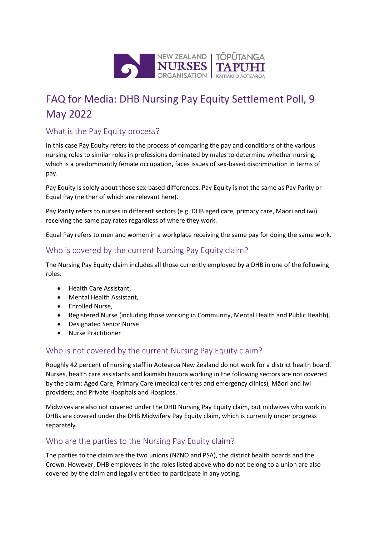

# FAQ for Media: DHB Nursing Pay Equity Settlement Poll, 9 May 2022

### What is the Pay Equity process?

In this case Pay Equity refers to the process of comparing the pay and conditions of the various nursing roles to similar roles in professions dominated by males to determine whether nursing, which is a predominantly female occupation, faces issues of sex-based discrimination in terms of pay.

Pay Equity is solely about those sex-based differences. Pay Equity is not the same as Pay Parity or Equal Pay (neither of which are relevant here).

Pay Parity refers to nurses in different sectors (e.g. DHB aged care, primary care, Māori and iwi) receiving the same pay rates regardless of where they work.

Equal Pay refers to men and women in a workplace receiving the same pay for doing the same work.

#### Who is covered by the current Nursing Pay Equity claim?

The Nursing Pay Equity claim includes all those currently employed by a DHB in one of the following roles:

- Health Care Assistant,
- Mental Health Assistant,
- Enrolled Nurse,
- Registered Nurse (including those working in Community, Mental Health and Public Health),
- Designated Senior Nurse
- Nurse Practitioner

### Who is not covered by the current Nursing Pay Equity claim?

Roughly 42 percent of nursing staff in Aotearoa New Zealand do not work for a district health board. Nurses, health care assistants and kaimahi hauora working in the following sectors are not covered by the claim: Aged Care, Primary Care (medical centres and emergency clinics), Māori and Iwi providers; and Private Hospitals and Hospices.

Midwives are also not covered under the DHB Nursing Pay Equity claim, but midwives who work in DHBs are covered under the DHB Midwifery Pay Equity claim, which is currently under progress separately.

### Who are the parties to the Nursing Pay Equity claim?

The parties to the claim are the two unions (NZNO and PSA), the district health boards and the Crown. However, DHB employees in the roles listed above who do not belong to a union are also covered by the claim and legally entitled to participate in any voting.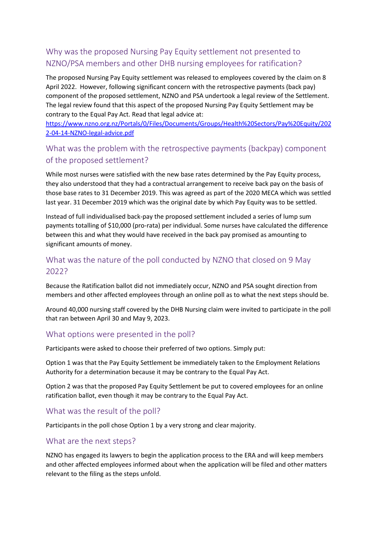# Why was the proposed Nursing Pay Equity settlement not presented to NZNO/PSA members and other DHB nursing employees for ratification?

The proposed Nursing Pay Equity settlement was released to employees covered by the claim on 8 April 2022. However, following significant concern with the retrospective payments (back pay) component of the proposed settlement, NZNO and PSA undertook a legal review of the Settlement. The legal review found that this aspect of the proposed Nursing Pay Equity Settlement may be contrary to the Equal Pay Act. Read that legal advice at:

[https://www.nzno.org.nz/Portals/0/Files/Documents/Groups/Health%20Sectors/Pay%20Equity/202](https://www.nzno.org.nz/Portals/0/Files/Documents/Groups/Health%20Sectors/Pay%20Equity/2022-04-14-NZNO-legal-advice.pdf) [2-04-14-NZNO-legal-advice.pdf](https://www.nzno.org.nz/Portals/0/Files/Documents/Groups/Health%20Sectors/Pay%20Equity/2022-04-14-NZNO-legal-advice.pdf) 

# What was the problem with the retrospective payments (backpay) component of the proposed settlement?

While most nurses were satisfied with the new base rates determined by the Pay Equity process, they also understood that they had a contractual arrangement to receive back pay on the basis of those base rates to 31 December 2019. This was agreed as part of the 2020 MECA which was settled last year. 31 December 2019 which was the original date by which Pay Equity was to be settled.

Instead of full individualised back-pay the proposed settlement included a series of lump sum payments totalling of \$10,000 (pro-rata) per individual. Some nurses have calculated the difference between this and what they would have received in the back pay promised as amounting to significant amounts of money.

### What was the nature of the poll conducted by NZNO that closed on 9 May 2022?

Because the Ratification ballot did not immediately occur, NZNO and PSA sought direction from members and other affected employees through an online poll as to what the next steps should be.

Around 40,000 nursing staff covered by the DHB Nursing claim were invited to participate in the poll that ran between April 30 and May 9, 2023.

### What options were presented in the poll?

Participants were asked to choose their preferred of two options. Simply put:

Option 1 was that the Pay Equity Settlement be immediately taken to the Employment Relations Authority for a determination because it may be contrary to the Equal Pay Act.

Option 2 was that the proposed Pay Equity Settlement be put to covered employees for an online ratification ballot, even though it may be contrary to the Equal Pay Act.

### What was the result of the poll?

Participants in the poll chose Option 1 by a very strong and clear majority.

### What are the next steps?

NZNO has engaged its lawyers to begin the application process to the ERA and will keep members and other affected employees informed about when the application will be filed and other matters relevant to the filing as the steps unfold.